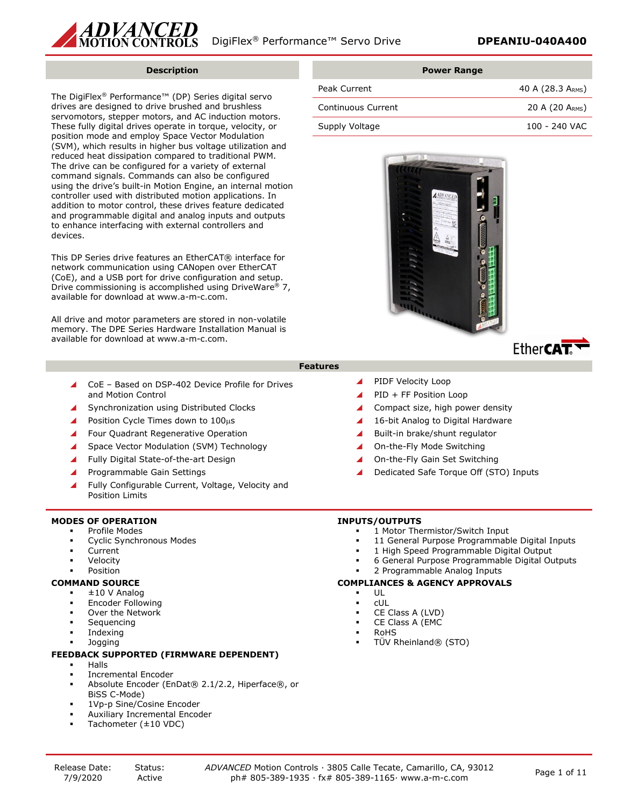

### **Description**

The DigiFlex® Performance™ (DP) Series digital servo drives are designed to drive brushed and brushless servomotors, stepper motors, and AC induction motors. These fully digital drives operate in torque, velocity, or position mode and employ Space Vector Modulation (SVM), which results in higher bus voltage utilization and reduced heat dissipation compared to traditional PWM. The drive can be configured for a variety of external command signals. Commands can also be configured using the drive's built-in Motion Engine, an internal motion controller used with distributed motion applications. In addition to motor control, these drives feature dedicated and programmable digital and analog inputs and outputs to enhance interfacing with external controllers and devices.

This DP Series drive features an EtherCAT® interface for network communication using CANopen over EtherCAT (CoE), and a USB port for drive configuration and setup. Drive commissioning is accomplished using DriveWare® 7, available for download at www.a-m-c.com.

All drive and motor parameters are stored in non-volatile memory. The DPE Series Hardware Installation Manual is available for download at www.a-m-c.com.

| <b>Power Range</b> |                   |
|--------------------|-------------------|
| Peak Current       | 40 A (28.3 ARMS)  |
| Continuous Current | 20 A (20 $ARMS$ ) |
| Supply Voltage     | 100 - 240 VAC     |



### **Features**

- CoE Based on DSP-402 Device Profile for Drives and Motion Control
- Synchronization using Distributed Clocks
- Position Cycle Times down to 100µs
- ▲ Four Quadrant Regenerative Operation
- Space Vector Modulation (SVM) Technology
- Fully Digital State-of-the-art Design
- Programmable Gain Settings
- Fully Configurable Current, Voltage, Velocity and Position Limits

### **MODES OF OPERATION**

- Profile Modes
- Cyclic Synchronous Modes
- Current
- Velocity
- Position

### **COMMAND SOURCE**

- ±10 V Analog
- Encoder Following
- Over the Network
- Sequencing
- Indexing
- Jogging

### **FEEDBACK SUPPORTED (FIRMWARE DEPENDENT)**

- Halls
- Incremental Encoder
- Absolute Encoder (EnDat® 2.1/2.2, Hiperface®, or BiSS C-Mode)
- 1Vp-p Sine/Cosine Encoder
- Auxiliary Incremental Encoder
- Tachometer (±10 VDC)

### **INPUTS/OUTPUTS**

1 Motor Thermistor/Switch Input

▲ Compact size, high power density ▲ 16-bit Analog to Digital Hardware ▲ Built-in brake/shunt regulator ▲ On-the-Fly Mode Switching ▲ On-the-Fly Gain Set Switching

11 General Purpose Programmable Digital Inputs

Dedicated Safe Torque Off (STO) Inputs

- 1 High Speed Programmable Digital Output
- 6 General Purpose Programmable Digital Outputs

## 2 Programmable Analog Inputs

### **COMPLIANCES & AGENCY APPROVALS**

 PIDF Velocity Loop ▲ PID + FF Position Loop

- UL
- cUL
- CE Class A (LVD)
- CE Class A (EMC
- RoHS
- TÜV Rheinland® (STO)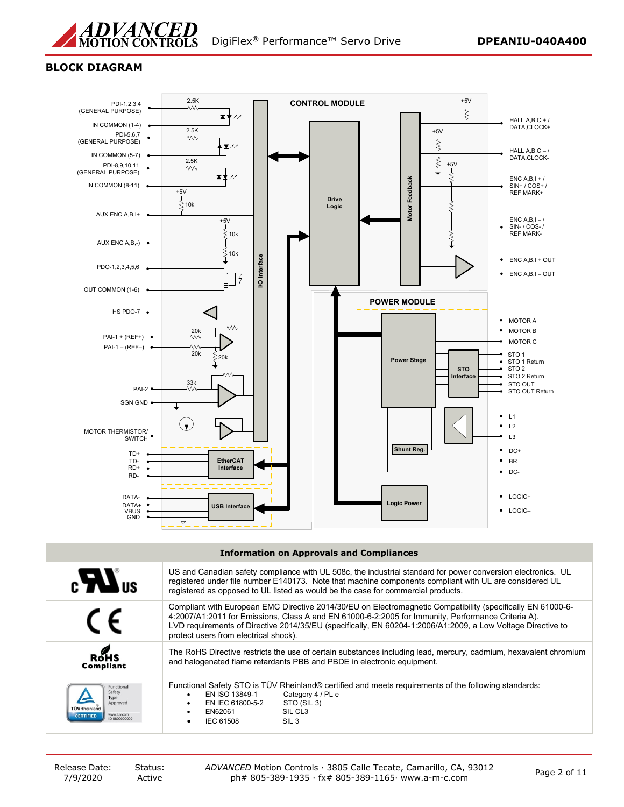

### **BLOCK DIAGRAM**



#### **Information on Approvals and Compliances**

| $\epsilon$ $\mathbf{W}$ us                                                                   | US and Canadian safety compliance with UL 508c, the industrial standard for power conversion electronics. UL<br>registered under file number E140173. Note that machine components compliant with UL are considered UL<br>registered as opposed to UL listed as would be the case for commercial products.                                                                |
|----------------------------------------------------------------------------------------------|---------------------------------------------------------------------------------------------------------------------------------------------------------------------------------------------------------------------------------------------------------------------------------------------------------------------------------------------------------------------------|
|                                                                                              | Compliant with European EMC Directive 2014/30/EU on Electromagnetic Compatibility (specifically EN 61000-6-<br>4:2007/A1:2011 for Emissions, Class A and EN 61000-6-2:2005 for Immunity, Performance Criteria A).<br>LVD requirements of Directive 2014/35/EU (specifically, EN 60204-1:2006/A1:2009, a Low Voltage Directive to<br>protect users from electrical shock). |
| ROHS<br><b>Compliant</b>                                                                     | The RoHS Directive restricts the use of certain substances including lead, mercury, cadmium, hexavalent chromium<br>and halogenated flame retardants PBB and PBDE in electronic equipment.                                                                                                                                                                                |
| Functional<br>Safety<br>Type<br>Approved<br>www.tuv.com<br><b>CERTIFIED</b><br>ID 0600000000 | Functional Safety STO is TUV Rheinland® certified and meets requirements of the following standards:<br>Category 4 / PL e<br>EN ISO 13849-1<br>$\bullet$<br>EN IEC 61800-5-2<br>STO (SIL 3)<br>$\bullet$<br>SIL CL <sub>3</sub><br>EN62061<br>SIL <sub>3</sub><br>IEC 61508                                                                                               |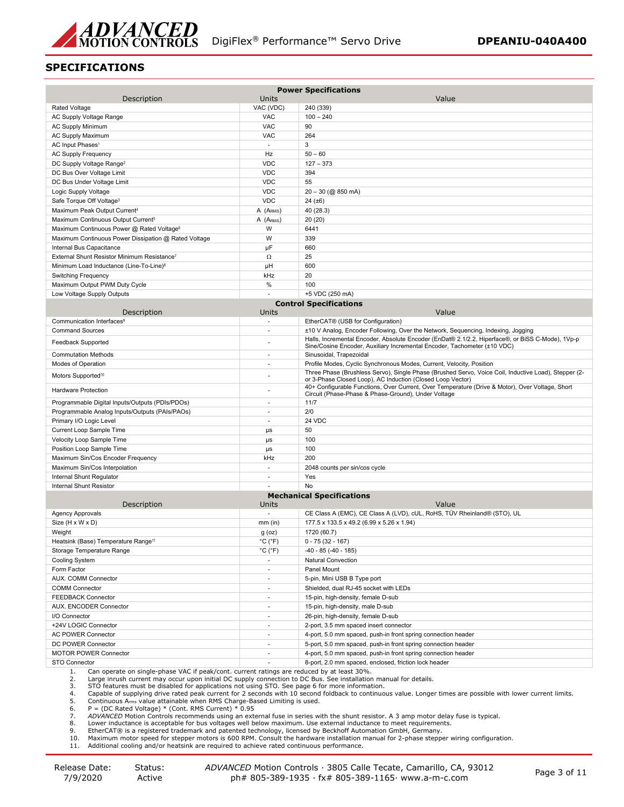

### **SPECIFICATIONS**

| Description                                                                                                                                                                                                                    | Units                        | <b>Power Specifications</b><br>Value                                                                                                                                         |
|--------------------------------------------------------------------------------------------------------------------------------------------------------------------------------------------------------------------------------|------------------------------|------------------------------------------------------------------------------------------------------------------------------------------------------------------------------|
| Rated Voltage                                                                                                                                                                                                                  | VAC (VDC)                    | 240 (339)                                                                                                                                                                    |
| AC Supply Voltage Range                                                                                                                                                                                                        | <b>VAC</b>                   | $100 - 240$                                                                                                                                                                  |
| <b>AC Supply Minimum</b>                                                                                                                                                                                                       | <b>VAC</b>                   | 90                                                                                                                                                                           |
| AC Supply Maximum                                                                                                                                                                                                              | <b>VAC</b>                   | 264                                                                                                                                                                          |
| AC Input Phases <sup>1</sup>                                                                                                                                                                                                   | $\sim$                       | 3                                                                                                                                                                            |
| <b>AC Supply Frequency</b>                                                                                                                                                                                                     | Hz                           | $50 - 60$                                                                                                                                                                    |
| DC Supply Voltage Range <sup>2</sup>                                                                                                                                                                                           | <b>VDC</b>                   | $127 - 373$                                                                                                                                                                  |
| DC Bus Over Voltage Limit                                                                                                                                                                                                      | <b>VDC</b>                   | 394                                                                                                                                                                          |
| DC Bus Under Voltage Limit                                                                                                                                                                                                     | <b>VDC</b>                   | 55                                                                                                                                                                           |
| Logic Supply Voltage                                                                                                                                                                                                           | <b>VDC</b>                   | 20 - 30 (@ 850 mA)                                                                                                                                                           |
| Safe Torque Off Voltage <sup>3</sup>                                                                                                                                                                                           | <b>VDC</b>                   | 24(.±6)                                                                                                                                                                      |
| Maximum Peak Output Current <sup>4</sup>                                                                                                                                                                                       | A (ARMS)                     | 40 (28.3)                                                                                                                                                                    |
| Maximum Continuous Output Current <sup>5</sup>                                                                                                                                                                                 | A (A <sub>RMS</sub> )        | 20 (20)                                                                                                                                                                      |
| Maximum Continuous Power @ Rated Voltage6                                                                                                                                                                                      | W                            | 6441                                                                                                                                                                         |
| Maximum Continuous Power Dissipation @ Rated Voltage                                                                                                                                                                           | W                            | 339                                                                                                                                                                          |
| Internal Bus Capacitance                                                                                                                                                                                                       | μF                           | 660                                                                                                                                                                          |
| External Shunt Resistor Minimum Resistance <sup>7</sup>                                                                                                                                                                        | $\Omega$                     | 25                                                                                                                                                                           |
| Minimum Load Inductance (Line-To-Line) <sup>8</sup>                                                                                                                                                                            | μH                           | 600                                                                                                                                                                          |
| <b>Switching Frequency</b>                                                                                                                                                                                                     | kHz                          | 20                                                                                                                                                                           |
| Maximum Output PWM Duty Cycle                                                                                                                                                                                                  | %                            | 100                                                                                                                                                                          |
| Low Voltage Supply Outputs                                                                                                                                                                                                     |                              | +5 VDC (250 mA)                                                                                                                                                              |
| Description                                                                                                                                                                                                                    | Units                        | <b>Control Specifications</b><br>Value                                                                                                                                       |
| Communication Interfaces <sup>9</sup>                                                                                                                                                                                          | $\sim$                       | EtherCAT® (USB for Configuration)                                                                                                                                            |
| <b>Command Sources</b>                                                                                                                                                                                                         | $\overline{\phantom{a}}$     | ±10 V Analog, Encoder Following, Over the Network, Sequencing, Indexing, Jogging                                                                                             |
| <b>Feedback Supported</b>                                                                                                                                                                                                      | $\overline{a}$               | Halls, Incremental Encoder, Absolute Encoder (EnDat® 2.1/2.2, Hiperface®, or BiSS C-Mode), 1Vp-p<br>Sine/Cosine Encoder, Auxiliary Incremental Encoder, Tachometer (±10 VDC) |
| <b>Commutation Methods</b>                                                                                                                                                                                                     | $\sim$                       | Sinusoidal, Trapezoidal                                                                                                                                                      |
| Modes of Operation                                                                                                                                                                                                             | $\sim$                       | Profile Modes, Cyclic Synchronous Modes, Current, Velocity, Position                                                                                                         |
| Motors Supported <sup>10</sup>                                                                                                                                                                                                 |                              | Three Phase (Brushless Servo), Single Phase (Brushed Servo, Voice Coil, Inductive Load), Stepper (2-<br>or 3-Phase Closed Loop), AC Induction (Closed Loop Vector)           |
| <b>Hardware Protection</b>                                                                                                                                                                                                     |                              | 40+ Configurable Functions, Over Current, Over Temperature (Drive & Motor), Over Voltage, Short<br>Circuit (Phase-Phase & Phase-Ground), Under Voltage                       |
| Programmable Digital Inputs/Outputs (PDIs/PDOs)                                                                                                                                                                                | ÷,                           | 11/7                                                                                                                                                                         |
| Programmable Analog Inputs/Outputs (PAIs/PAOs)                                                                                                                                                                                 |                              | 2/0                                                                                                                                                                          |
| Primary I/O Logic Level                                                                                                                                                                                                        | $\sim$                       | 24 VDC                                                                                                                                                                       |
| Current Loop Sample Time                                                                                                                                                                                                       | $\mu s$                      | 50                                                                                                                                                                           |
| Velocity Loop Sample Time                                                                                                                                                                                                      | $\mu s$                      | 100                                                                                                                                                                          |
| Position Loop Sample Time                                                                                                                                                                                                      | $\mu s$                      | 100                                                                                                                                                                          |
| Maximum Sin/Cos Encoder Frequency                                                                                                                                                                                              | kHz<br>$\sim$                | 200                                                                                                                                                                          |
| Maximum Sin/Cos Interpolation                                                                                                                                                                                                  | $\sim$                       | 2048 counts per sin/cos cycle<br>Yes                                                                                                                                         |
| Internal Shunt Regulator<br><b>Internal Shunt Resistor</b>                                                                                                                                                                     | $\overline{a}$               | No                                                                                                                                                                           |
|                                                                                                                                                                                                                                |                              | <b>Mechanical Specifications</b>                                                                                                                                             |
| Description                                                                                                                                                                                                                    | Units                        | Value                                                                                                                                                                        |
| Agency Approvals                                                                                                                                                                                                               |                              | CE Class A (EMC), CE Class A (LVD), cUL, RoHS, TÜV Rheinland® (STO), UL                                                                                                      |
| Size (H x W x D)                                                                                                                                                                                                               | $mm$ (in)                    | 177.5 x 133.5 x 49.2 (6.99 x 5.26 x 1.94)                                                                                                                                    |
| Weight                                                                                                                                                                                                                         | $g$ (oz)                     | 1720 (60.7)                                                                                                                                                                  |
| Heatsink (Base) Temperature Range <sup>11</sup>                                                                                                                                                                                | °C (°F)                      | $0 - 75(32 - 167)$                                                                                                                                                           |
| Storage Temperature Range                                                                                                                                                                                                      | $^{\circ}$ C ( $^{\circ}$ F) | $-40 - 85(-40 - 185)$                                                                                                                                                        |
| <b>Cooling System</b>                                                                                                                                                                                                          | ×.                           | Natural Convection                                                                                                                                                           |
| Form Factor                                                                                                                                                                                                                    |                              | Panel Mount                                                                                                                                                                  |
| AUX. COMM Connector                                                                                                                                                                                                            | $\overline{\phantom{a}}$     | 5-pin, Mini USB B Type port                                                                                                                                                  |
| <b>COMM Connector</b>                                                                                                                                                                                                          | $\sim$                       | Shielded, dual RJ-45 socket with LEDs                                                                                                                                        |
| FEEDBACK Connector                                                                                                                                                                                                             | $\sim$                       | 15-pin, high-density, female D-sub                                                                                                                                           |
| AUX. ENCODER Connector                                                                                                                                                                                                         | $\sim$                       | 15-pin, high-density, male D-sub                                                                                                                                             |
| I/O Connector                                                                                                                                                                                                                  | $\tilde{\phantom{a}}$        | 26-pin, high-density, female D-sub                                                                                                                                           |
| +24V LOGIC Connector                                                                                                                                                                                                           | $\sim$                       | 2-port, 3.5 mm spaced insert connector                                                                                                                                       |
| <b>AC POWER Connector</b>                                                                                                                                                                                                      | ÷,                           | 4-port, 5.0 mm spaced, push-in front spring connection header                                                                                                                |
| DC POWER Connector                                                                                                                                                                                                             |                              | 5-port, 5.0 mm spaced, push-in front spring connection header                                                                                                                |
| <b>MOTOR POWER Connector</b>                                                                                                                                                                                                   | $\sim$                       | 4-port, 5.0 mm spaced, push-in front spring connection header                                                                                                                |
| <b>STO Connector</b><br>Can operate on single-phase VAC if peak/cont. current ratings are reduced by at least 30%.<br>1.                                                                                                       |                              | 8-port, 2.0 mm spaced, enclosed, friction lock header                                                                                                                        |
| Large inrush current may occur upon initial DC supply connection to DC Bus. See installation manual for details.<br>2.<br>STO features must be disabled for applications not using STO. See page 6 for more information.<br>3. |                              |                                                                                                                                                                              |

STO features must be disabled for applications not using STO. See page 6 for more information.<br>
4. Capable of supplying drive rated peak current for 2 seconds with 10 second foldback to continuous value. Longer times are p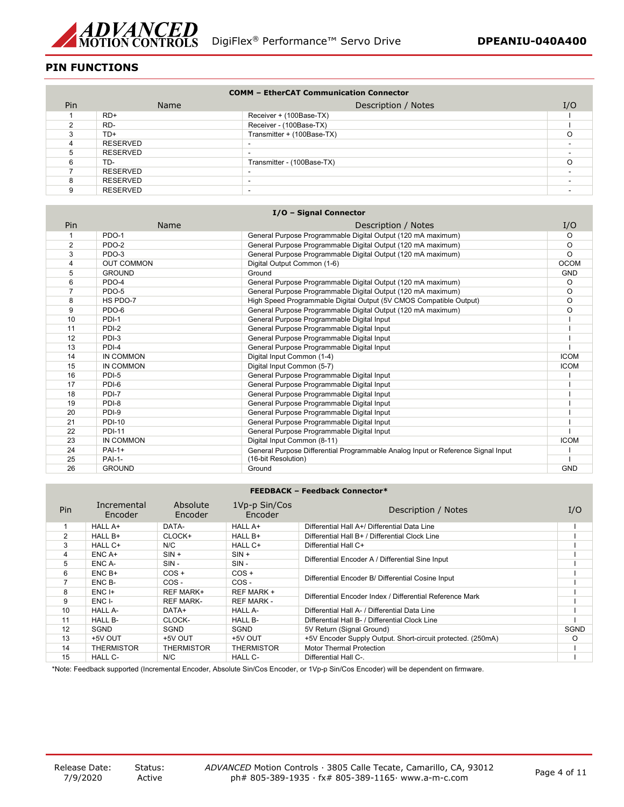

# **PIN FUNCTIONS**

| <b>COMM - EtherCAT Communication Connector</b> |          |                            |     |
|------------------------------------------------|----------|----------------------------|-----|
| Pin                                            | Name     | Description / Notes        | I/O |
|                                                | $RD+$    | Receiver + (100Base-TX)    |     |
|                                                | RD-      | Receiver - (100Base-TX)    |     |
|                                                | TD+      | Transmitter + (100Base-TX) | ∩   |
|                                                | RESERVED |                            |     |
|                                                | RESERVED | ۰.                         |     |
|                                                | TD-      | Transmitter - (100Base-TX) | Ω   |
|                                                | RESERVED |                            |     |
|                                                | RESERVED |                            |     |
|                                                | RESERVED |                            |     |

| I/O - Signal Connector |                   |                                                                                  |             |  |
|------------------------|-------------------|----------------------------------------------------------------------------------|-------------|--|
| Pin                    | <b>Name</b>       | Description / Notes                                                              | I/O         |  |
|                        | PDO-1             | General Purpose Programmable Digital Output (120 mA maximum)                     | O           |  |
| $\overline{2}$         | PDO-2             | General Purpose Programmable Digital Output (120 mA maximum)                     | $\circ$     |  |
| 3                      | PDO-3             | General Purpose Programmable Digital Output (120 mA maximum)                     | $\Omega$    |  |
| 4                      | <b>OUT COMMON</b> | Digital Output Common (1-6)                                                      | <b>OCOM</b> |  |
| 5                      | <b>GROUND</b>     | Ground                                                                           | <b>GND</b>  |  |
| 6                      | PDO-4             | General Purpose Programmable Digital Output (120 mA maximum)                     | O           |  |
|                        | PDO-5             | General Purpose Programmable Digital Output (120 mA maximum)                     | O           |  |
| 8                      | HS PDO-7          | High Speed Programmable Digital Output (5V CMOS Compatible Output)               | O           |  |
| 9                      | PDO-6             | General Purpose Programmable Digital Output (120 mA maximum)                     | O           |  |
| 10                     | PDI-1             | General Purpose Programmable Digital Input                                       |             |  |
| 11                     | PDI-2             | General Purpose Programmable Digital Input                                       |             |  |
| 12                     | PDI-3             | General Purpose Programmable Digital Input                                       |             |  |
| 13                     | PDI-4             | General Purpose Programmable Digital Input                                       |             |  |
| 14                     | IN COMMON         | Digital Input Common (1-4)                                                       | <b>ICOM</b> |  |
| 15                     | IN COMMON         | Digital Input Common (5-7)                                                       | <b>ICOM</b> |  |
| 16                     | PDI-5             | General Purpose Programmable Digital Input                                       |             |  |
| 17                     | PDI-6             | General Purpose Programmable Digital Input                                       |             |  |
| 18                     | PDI-7             | General Purpose Programmable Digital Input                                       |             |  |
| 19                     | PDI-8             | General Purpose Programmable Digital Input                                       |             |  |
| 20                     | PDI-9             | General Purpose Programmable Digital Input                                       |             |  |
| 21                     | <b>PDI-10</b>     | General Purpose Programmable Digital Input                                       |             |  |
| 22                     | <b>PDI-11</b>     | General Purpose Programmable Digital Input                                       |             |  |
| 23                     | IN COMMON         | Digital Input Common (8-11)                                                      | <b>ICOM</b> |  |
| 24                     | $PAI-1+$          | General Purpose Differential Programmable Analog Input or Reference Signal Input |             |  |
| 25                     | <b>PAI-1-</b>     | (16-bit Resolution)                                                              |             |  |
| 26                     | <b>GROUND</b>     | Ground                                                                           | <b>GND</b>  |  |

#### **FEEDBACK – Feedback Connector\***

| Pin            | Incremental<br>Encoder | Absolute<br>Encoder | 1Vp-p Sin/Cos<br>Encoder | Description / Notes                                         | I/O         |
|----------------|------------------------|---------------------|--------------------------|-------------------------------------------------------------|-------------|
|                | HALL A+                | DATA-               | HALL A+                  | Differential Hall A+/ Differential Data Line                |             |
| $\overline{2}$ | HALL B+                | CLOCK+              | HALL B+                  | Differential Hall B+ / Differential Clock Line              |             |
| 3              | HALL C+                | N/C                 | HALL C+                  | Differential Hall C+                                        |             |
| 4              | $ENCA+$                | $SIN +$             | $SIN +$                  | Differential Encoder A / Differential Sine Input            |             |
| 5              | ENC A-                 | $SIN -$             | $SIN -$                  |                                                             |             |
| 6              | $ENCB+$                | $COS +$             | $COS +$                  |                                                             |             |
|                | ENC B-                 | COS-                | COS-                     | Differential Encoder B/ Differential Cosine Input           |             |
| 8              | $ENC$ $H$              | <b>REF MARK+</b>    | REF MARK +               | Differential Encoder Index / Differential Reference Mark    |             |
| 9              | ENC I-                 | <b>REF MARK-</b>    | <b>REF MARK -</b>        |                                                             |             |
| 10             | <b>HALL A-</b>         | DATA+               | <b>HALL A-</b>           | Differential Hall A- / Differential Data Line               |             |
| 11             | HALL B-                | CLOCK-              | HALL B-                  | Differential Hall B- / Differential Clock Line              |             |
| 12             | SGND                   | SGND                | SGND                     | 5V Return (Signal Ground)                                   | <b>SGND</b> |
| 13             | +5V OUT                | +5V OUT             | +5V OUT                  | +5V Encoder Supply Output. Short-circuit protected. (250mA) | $\circ$     |
| 14             | THERMISTOR             | <b>THERMISTOR</b>   | <b>THERMISTOR</b>        | Motor Thermal Protection                                    |             |
| 15             | HALL C-                | N/C                 | HALL C-                  | Differential Hall C-.                                       |             |

\*Note: Feedback supported (Incremental Encoder, Absolute Sin/Cos Encoder, or 1Vp-p Sin/Cos Encoder) will be dependent on firmware.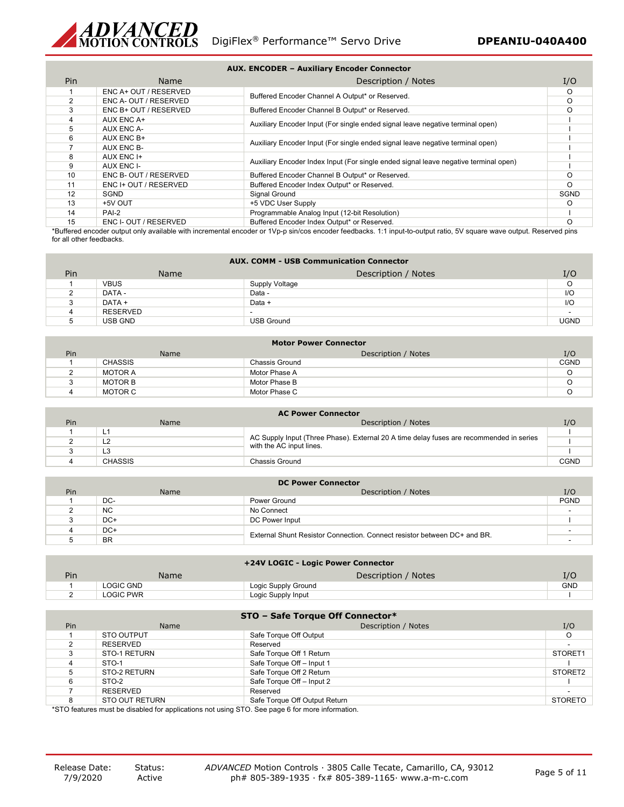

| <b>AUX. ENCODER - Auxiliary Encoder Connector</b> |                       |                                                                                      |             |  |  |  |  |
|---------------------------------------------------|-----------------------|--------------------------------------------------------------------------------------|-------------|--|--|--|--|
| Pin.<br>Description / Notes<br>Name               |                       |                                                                                      |             |  |  |  |  |
|                                                   | ENC A+ OUT / RESERVED |                                                                                      | O           |  |  |  |  |
| $\mathfrak{p}$                                    | ENC A- OUT / RESERVED | Buffered Encoder Channel A Output* or Reserved.                                      | $\Omega$    |  |  |  |  |
| 3                                                 | ENC B+ OUT / RESERVED | Buffered Encoder Channel B Output* or Reserved.                                      | O           |  |  |  |  |
| 4                                                 | AUX ENC A+            | Auxiliary Encoder Input (For single ended signal leave negative terminal open)       |             |  |  |  |  |
| 5                                                 | AUX ENC A-            |                                                                                      |             |  |  |  |  |
| 6                                                 | AUX ENC B+            | Auxiliary Encoder Input (For single ended signal leave negative terminal open)       |             |  |  |  |  |
|                                                   | AUX ENC B-            |                                                                                      |             |  |  |  |  |
| 8                                                 | AUX ENC I+            | Auxiliary Encoder Index Input (For single ended signal leave negative terminal open) |             |  |  |  |  |
| 9                                                 | AUX ENC I-            |                                                                                      |             |  |  |  |  |
| 10                                                | ENC B-OUT / RESERVED  | Buffered Encoder Channel B Output* or Reserved.                                      | O           |  |  |  |  |
| 11                                                | ENC I+ OUT / RESERVED | Buffered Encoder Index Output* or Reserved.                                          | O           |  |  |  |  |
| 12                                                | SGND                  | Signal Ground                                                                        | <b>SGND</b> |  |  |  |  |
| 13                                                | +5V OUT               | +5 VDC User Supply                                                                   | O           |  |  |  |  |
| 14                                                | PAI-2                 | Programmable Analog Input (12-bit Resolution)                                        |             |  |  |  |  |
| 15                                                | ENC I- OUT / RESERVED | Buffered Encoder Index Output* or Reserved.                                          | $\Omega$    |  |  |  |  |

\*Buffered encoder output only available with incremental encoder or 1Vp-p sin/cos encoder feedbacks. 1:1 input-to-output ratio, 5V square wave output. Reserved pins for all other feedbacks.

| <b>AUX. COMM - USB Communication Connector</b> |             |                     |             |
|------------------------------------------------|-------------|---------------------|-------------|
| Pin                                            | <b>Name</b> | Description / Notes | I/O         |
|                                                | <b>VBUS</b> | Supply Voltage      | O           |
|                                                | DATA -      | Data -              | I/O         |
| ີ<br>-53                                       | DATA +      | Data +              | I/O         |
|                                                | RESERVED    | -                   |             |
| b                                              | USB GND     | <b>USB Ground</b>   | <b>UGND</b> |
|                                                |             |                     |             |

| Motor Power Connector |                |                     |             |  |
|-----------------------|----------------|---------------------|-------------|--|
| Pin                   | <b>Name</b>    | Description / Notes | I/O         |  |
|                       | <b>CHASSIS</b> | Chassis Ground      | <b>CGND</b> |  |
|                       | <b>MOTOR A</b> | Motor Phase A       | O           |  |
|                       | MOTOR B        | Motor Phase B       |             |  |
|                       | MOTOR C        | Motor Phase C       |             |  |

| <b>AC Power Connector</b> |                |                                                                                                                     |             |  |
|---------------------------|----------------|---------------------------------------------------------------------------------------------------------------------|-------------|--|
| Pin                       | <b>Name</b>    | Description / Notes                                                                                                 | I/O         |  |
|                           | L1             |                                                                                                                     |             |  |
|                           | L2             | AC Supply Input (Three Phase). External 20 A time delay fuses are recommended in series<br>with the AC input lines. |             |  |
|                           | L <sub>3</sub> |                                                                                                                     |             |  |
|                           | <b>CHASSIS</b> | Chassis Ground                                                                                                      | <b>CGND</b> |  |

| <b>DC Power Connector</b> |           |                                                                          |             |  |
|---------------------------|-----------|--------------------------------------------------------------------------|-------------|--|
| Pin                       | Name      | Description / Notes                                                      | I/O         |  |
|                           | DC-       | Power Ground                                                             | <b>PGND</b> |  |
|                           | <b>NC</b> | No Connect                                                               |             |  |
|                           | DC+       | DC Power Input                                                           |             |  |
|                           | DC+       | External Shunt Resistor Connection. Connect resistor between DC+ and BR. |             |  |
|                           | <b>BR</b> |                                                                          |             |  |

| +24V LOGIC - Logic Power Connector |           |                     |            |
|------------------------------------|-----------|---------------------|------------|
| Pin                                | Name      | Description / Notes | I/O        |
|                                    | LOGIC GND | Logic Supply Ground | <b>GND</b> |
|                                    | LOGIC PWR | Logic Supply Input  |            |

| STO – Safe Torque Off Connector* |                 |                               |                     |  |
|----------------------------------|-----------------|-------------------------------|---------------------|--|
| Pin                              | Name            | Description / Notes           | I/O                 |  |
|                                  | STO OUTPUT      | Safe Torque Off Output        |                     |  |
|                                  | <b>RESERVED</b> | Reserved                      |                     |  |
| 3                                | STO-1 RETURN    | Safe Torque Off 1 Return      | STORET <sub>1</sub> |  |
|                                  | STO-1           | Safe Torque Off - Input 1     |                     |  |
|                                  | STO-2 RETURN    | Safe Torque Off 2 Return      | STORET2             |  |
| 6                                | STO-2           | Safe Torque Off - Input 2     |                     |  |
|                                  | <b>RESERVED</b> | Reserved                      |                     |  |
|                                  | STO OUT RETURN  | Safe Torque Off Output Return | STORETO             |  |

\*STO features must be disabled for applications not using STO. See page 6 for more information.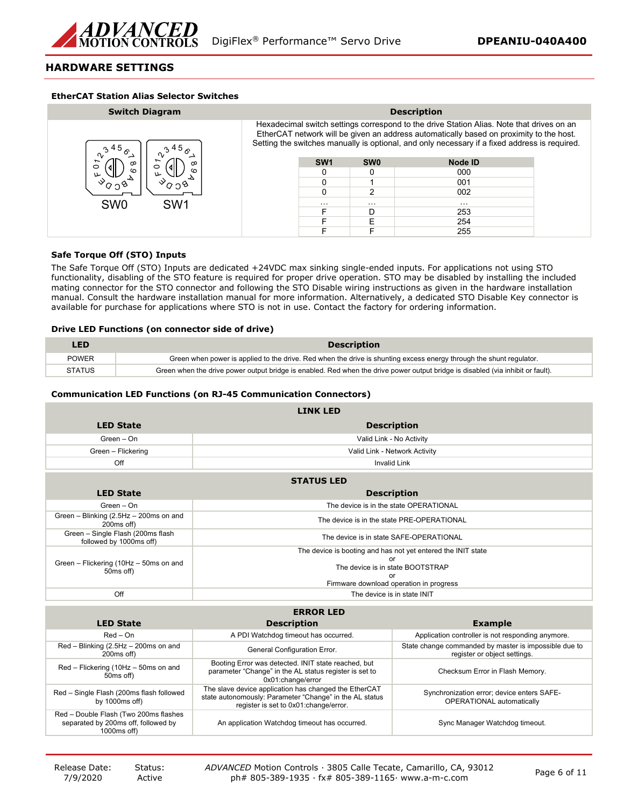

### **HARDWARE SETTINGS**

#### **EtherCAT Station Alias Selector Switches**

| <b>Switch Diagram</b>              | <b>Description</b>                                                                                                                                                                                                                                                                    |                 |            |                |  |
|------------------------------------|---------------------------------------------------------------------------------------------------------------------------------------------------------------------------------------------------------------------------------------------------------------------------------------|-----------------|------------|----------------|--|
| n,                                 | Hexadecimal switch settings correspond to the drive Station Alias. Note that drives on an<br>EtherCAT network will be given an address automatically based on proximity to the host.<br>Setting the switches manually is optional, and only necessary if a fixed address is required. |                 |            |                |  |
| ∞<br>∞<br>d١<br>○<br>$\circ$       |                                                                                                                                                                                                                                                                                       | SW <sub>1</sub> | <b>SW0</b> | <b>Node ID</b> |  |
| ဖ<br>ຕ<br>ىلا<br>ىلا               |                                                                                                                                                                                                                                                                                       |                 |            | 000            |  |
|                                    |                                                                                                                                                                                                                                                                                       |                 |            | 001            |  |
|                                    |                                                                                                                                                                                                                                                                                       |                 | 2          | 002            |  |
| SW <sub>0</sub><br>SW <sub>1</sub> |                                                                                                                                                                                                                                                                                       | $\cdots$        | $\cdots$   | $\cdots$       |  |
|                                    |                                                                                                                                                                                                                                                                                       |                 | D          | 253            |  |
|                                    |                                                                                                                                                                                                                                                                                       |                 | F          | 254            |  |
|                                    |                                                                                                                                                                                                                                                                                       |                 |            | 255            |  |

### **Safe Torque Off (STO) Inputs**

The Safe Torque Off (STO) Inputs are dedicated +24VDC max sinking single-ended inputs. For applications not using STO functionality, disabling of the STO feature is required for proper drive operation. STO may be disabled by installing the included mating connector for the STO connector and following the STO Disable wiring instructions as given in the hardware installation manual. Consult the hardware installation manual for more information. Alternatively, a dedicated STO Disable Key connector is available for purchase for applications where STO is not in use. Contact the factory for ordering information.

#### **Drive LED Functions (on connector side of drive)**

| LED.   | <b>Description</b>                                                                                                              |
|--------|---------------------------------------------------------------------------------------------------------------------------------|
| POWER  | Green when power is applied to the drive. Red when the drive is shunting excess energy through the shunt regulator.             |
| STATUS | Green when the drive power output bridge is enabled. Red when the drive power output bridge is disabled (via inhibit or fault). |

### **Communication LED Functions (on RJ-45 Communication Connectors)**

|                                                                                             | <b>LINK LED</b>                                                                                                                                           |                                                                                       |  |  |  |  |  |
|---------------------------------------------------------------------------------------------|-----------------------------------------------------------------------------------------------------------------------------------------------------------|---------------------------------------------------------------------------------------|--|--|--|--|--|
| <b>LED State</b>                                                                            |                                                                                                                                                           | <b>Description</b>                                                                    |  |  |  |  |  |
| Green - On                                                                                  |                                                                                                                                                           | Valid Link - No Activity                                                              |  |  |  |  |  |
| Green - Flickering                                                                          |                                                                                                                                                           | Valid Link - Network Activity                                                         |  |  |  |  |  |
| Off                                                                                         |                                                                                                                                                           | <b>Invalid Link</b>                                                                   |  |  |  |  |  |
|                                                                                             | <b>STATUS LED</b>                                                                                                                                         |                                                                                       |  |  |  |  |  |
| <b>LED State</b>                                                                            | <b>Description</b>                                                                                                                                        |                                                                                       |  |  |  |  |  |
| Green - On                                                                                  |                                                                                                                                                           | The device is in the state OPERATIONAL                                                |  |  |  |  |  |
| Green - Blinking (2.5Hz - 200ms on and<br>200ms off)                                        |                                                                                                                                                           | The device is in the state PRE-OPERATIONAL                                            |  |  |  |  |  |
| Green - Single Flash (200ms flash<br>followed by 1000ms off)                                | The device is in state SAFE-OPERATIONAL                                                                                                                   |                                                                                       |  |  |  |  |  |
| Green - Flickering (10Hz - 50ms on and<br>50ms off)                                         | The device is booting and has not yet entered the INIT state<br>The device is in state BOOTSTRAP<br>nr<br>Firmware download operation in progress         |                                                                                       |  |  |  |  |  |
| Off<br>The device is in state INIT                                                          |                                                                                                                                                           |                                                                                       |  |  |  |  |  |
|                                                                                             |                                                                                                                                                           |                                                                                       |  |  |  |  |  |
| <b>LED State</b>                                                                            | <b>ERROR LED</b><br><b>Description</b>                                                                                                                    | <b>Example</b>                                                                        |  |  |  |  |  |
|                                                                                             |                                                                                                                                                           |                                                                                       |  |  |  |  |  |
| $Red - On$                                                                                  | A PDI Watchdog timeout has occurred.                                                                                                                      | Application controller is not responding anymore.                                     |  |  |  |  |  |
| Red - Blinking (2.5Hz - 200ms on and<br>200ms off)                                          | General Configuration Error.                                                                                                                              | State change commanded by master is impossible due to<br>register or object settings. |  |  |  |  |  |
| Red - Flickering (10Hz - 50ms on and<br>50ms off)                                           | Booting Error was detected. INIT state reached, but<br>parameter "Change" in the AL status register is set to<br>0x01:change/error                        | Checksum Error in Flash Memory.                                                       |  |  |  |  |  |
| Red - Single Flash (200ms flash followed<br>by $1000ms$ off)                                | The slave device application has changed the EtherCAT<br>state autonomously: Parameter "Change" in the AL status<br>register is set to 0x01:change/error. | Synchronization error; device enters SAFE-<br>OPERATIONAL automatically               |  |  |  |  |  |
| Red - Double Flash (Two 200ms flashes<br>separated by 200ms off, followed by<br>1000ms off) | An application Watchdog timeout has occurred.                                                                                                             | Sync Manager Watchdog timeout.                                                        |  |  |  |  |  |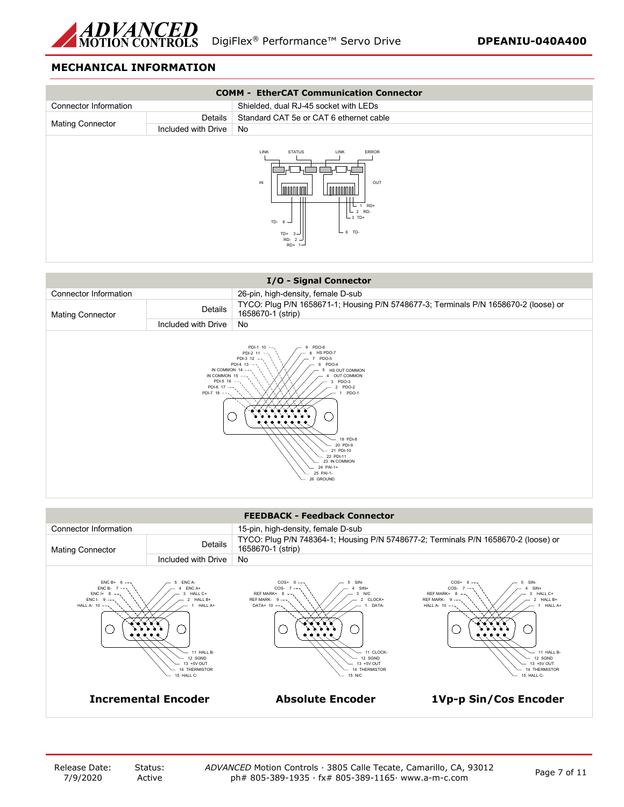

# **MECHANICAL INFORMATION**



| I/O - Signal Connector                                                                                                                                                                                                                                                                                                                              |                     |                                                                                                          |  |  |
|-----------------------------------------------------------------------------------------------------------------------------------------------------------------------------------------------------------------------------------------------------------------------------------------------------------------------------------------------------|---------------------|----------------------------------------------------------------------------------------------------------|--|--|
| Connector Information                                                                                                                                                                                                                                                                                                                               |                     | 26-pin, high-density, female D-sub                                                                       |  |  |
| <b>Mating Connector</b>                                                                                                                                                                                                                                                                                                                             | Details             | TYCO: Plug P/N 1658671-1; Housing P/N 5748677-3; Terminals P/N 1658670-2 (loose) or<br>1658670-1 (strip) |  |  |
|                                                                                                                                                                                                                                                                                                                                                     | Included with Drive | No                                                                                                       |  |  |
| PDI-1 10 --<br>PDO-6<br>PDI-2 11<br>HS PDO-7<br>PDI-3 12 ---<br>PDO-5<br>PDO-4<br>PDI-4 13<br>IN COMMON 14 --<br>HS OUT COMMON<br>IN COMMON 15 --<br>OUT COMMON<br>PDI-5 16 -<br>PDO-3<br>PDI-6 17 ---<br>PDO-2<br>$PDI-7$ 18 ---<br>PDO-1<br>19 PDI-8<br>20 PDI-9<br>21 PDI-10<br>22 PDI-11<br>23 IN COMMON<br>24 PAI-1+<br>25 PAI-1-<br>26 GROUND |                     |                                                                                                          |  |  |

|                                                                  |                                                                                                                      | <b>FEEDBACK - Feedback Connector</b>                                                                                                                             |                                                                                                                                                                                              |
|------------------------------------------------------------------|----------------------------------------------------------------------------------------------------------------------|------------------------------------------------------------------------------------------------------------------------------------------------------------------|----------------------------------------------------------------------------------------------------------------------------------------------------------------------------------------------|
| Connector Information                                            |                                                                                                                      | 15-pin, high-density, female D-sub                                                                                                                               |                                                                                                                                                                                              |
| <b>Mating Connector</b>                                          | <b>Details</b>                                                                                                       | TYCO: Plug P/N 748364-1; Housing P/N 5748677-2; Terminals P/N 1658670-2 (loose) or<br>1658670-1 (strip)                                                          |                                                                                                                                                                                              |
|                                                                  | Included with Drive                                                                                                  | No                                                                                                                                                               |                                                                                                                                                                                              |
| ENC B+<br>ENC B-<br>$ENC I+ 8$<br>$ENC I - 9$<br>HALL A- $10$ -- | ENC A-<br>ENC A+<br>HALL C+<br>HALL B+<br>HALL A+<br>11 HALL B-<br>12 SGND<br>13 +5V OUT<br>THERMISTOR<br>15 HALL C- | $COS+$<br>COS-<br>$SIN+$<br>REF MARK+<br>N/C<br>CLOCK+<br>REF MARK- 9<br>DATA+ $10$ --<br>DATA-<br>11 CLOCK-<br>12 SGND<br>13 +5V OUT<br>14 THERMISTOR<br>15 N/C | SIN-<br>$COS+$<br>COS-<br>$SIN+$<br>HALL C+<br>REF MARK+ 8<br>REF MARK- 9 ---<br>HALL B+<br>HALL A- $10$ --<br>HALL A+<br>11 HALL B-<br>12 SGND<br>13 +5V OUT<br>14 THERMISTOR<br>15 HALL C- |
| <b>Incremental Encoder</b>                                       |                                                                                                                      | <b>Absolute Encoder</b>                                                                                                                                          | 1Vp-p Sin/Cos Encoder                                                                                                                                                                        |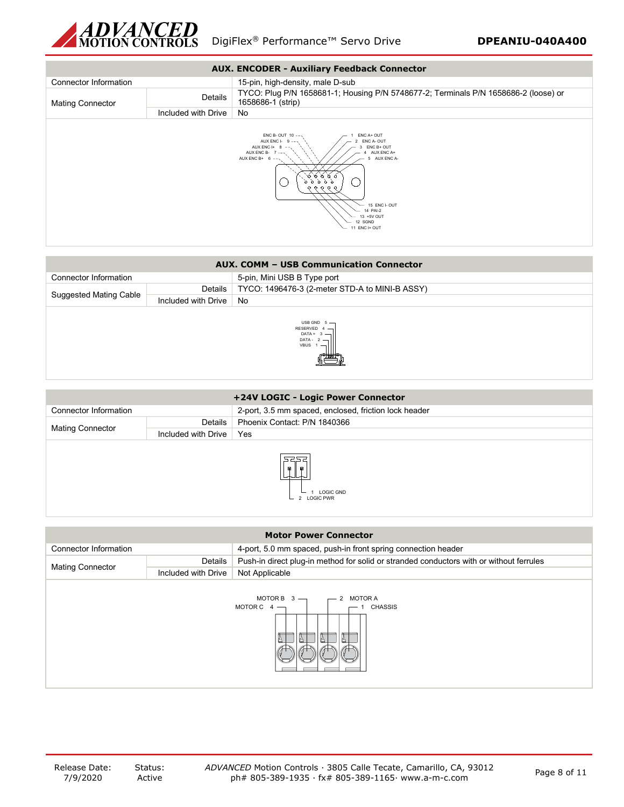



| <b>AUX. COMM - USB Communication Connector</b> |                     |                                                                         |  |  |
|------------------------------------------------|---------------------|-------------------------------------------------------------------------|--|--|
| Connector Information                          |                     | 5-pin, Mini USB B Type port                                             |  |  |
|                                                | Details             | TYCO: 1496476-3 (2-meter STD-A to MINI-B ASSY)                          |  |  |
| Suggested Mating Cable                         | Included with Drive | No                                                                      |  |  |
|                                                |                     | USB GND $5 -$<br>RESERVED $4 -$<br>$DATA + 3$ -<br>$DATA - 2$ –<br>VBUS |  |  |

| +24V LOGIC - Logic Power Connector |                                                                               |                                                       |  |  |  |  |
|------------------------------------|-------------------------------------------------------------------------------|-------------------------------------------------------|--|--|--|--|
| Connector Information              |                                                                               | 2-port, 3.5 mm spaced, enclosed, friction lock header |  |  |  |  |
|                                    | Details                                                                       | Phoenix Contact: P/N 1840366                          |  |  |  |  |
|                                    | Included with Drive                                                           | Yes                                                   |  |  |  |  |
|                                    | <b>Mating Connector</b><br>2222<br>D.<br>闌<br><b>LOGIC GND</b><br>2 LOGIC PWR |                                                       |  |  |  |  |

| <b>Motor Power Connector</b>                                          |                     |                                                                                         |  |  |  |
|-----------------------------------------------------------------------|---------------------|-----------------------------------------------------------------------------------------|--|--|--|
| Connector Information                                                 |                     | 4-port, 5.0 mm spaced, push-in front spring connection header                           |  |  |  |
| <b>Mating Connector</b>                                               | Details             | Push-in direct plug-in method for solid or stranded conductors with or without ferrules |  |  |  |
|                                                                       | Included with Drive | Not Applicable                                                                          |  |  |  |
| MOTOR B $3 -$<br>MOTOR A<br>MOTOR C $4 -$<br><b>CHASSIS</b><br>I<br>A |                     |                                                                                         |  |  |  |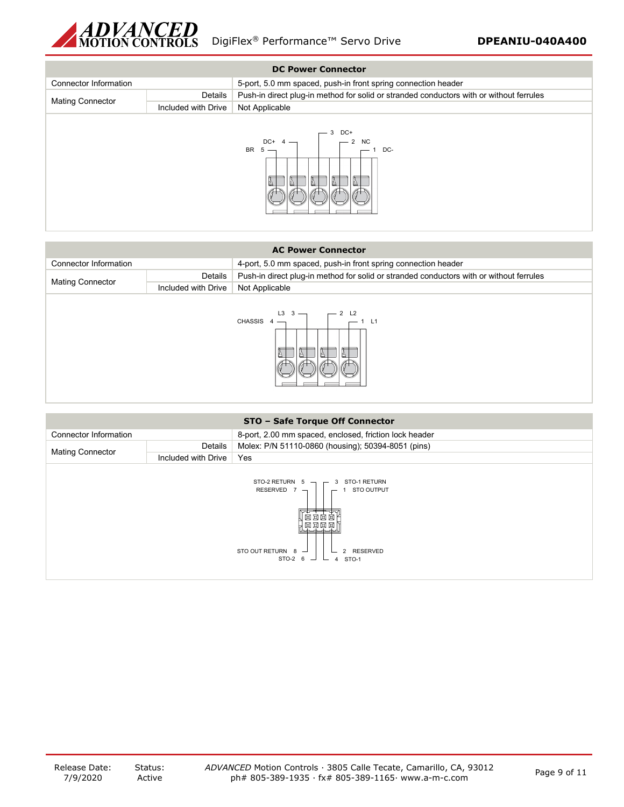

| <b>DC Power Connector</b> |                     |                                                                                         |  |  |  |
|---------------------------|---------------------|-----------------------------------------------------------------------------------------|--|--|--|
| Connector Information     |                     | 5-port, 5.0 mm spaced, push-in front spring connection header                           |  |  |  |
| <b>Mating Connector</b>   | Details             | Push-in direct plug-in method for solid or stranded conductors with or without ferrules |  |  |  |
|                           | Included with Drive | Not Applicable                                                                          |  |  |  |
|                           |                     | DC+<br>3<br>DC+<br>$-2$ NC<br>$4 -$<br>$-1$ DC-<br>BR $5 -$<br>E<br>Ā                   |  |  |  |

| <b>AC Power Connector</b>    |                     |                                                                                         |  |  |  |
|------------------------------|---------------------|-----------------------------------------------------------------------------------------|--|--|--|
| <b>Connector Information</b> |                     | 4-port, 5.0 mm spaced, push-in front spring connection header                           |  |  |  |
|                              | Details             | Push-in direct plug-in method for solid or stranded conductors with or without ferrules |  |  |  |
|                              | Included with Drive | Not Applicable                                                                          |  |  |  |
| <b>Mating Connector</b>      |                     | CHASSIS $4 \rightarrow$<br>$-1$ L1<br>I                                                 |  |  |  |

| STO - Safe Torque Off Connector                                                                                                                    |                     |                                                        |  |  |  |
|----------------------------------------------------------------------------------------------------------------------------------------------------|---------------------|--------------------------------------------------------|--|--|--|
| Connector Information                                                                                                                              |                     | 8-port, 2.00 mm spaced, enclosed, friction lock header |  |  |  |
| <b>Mating Connector</b>                                                                                                                            | Details             | Molex: P/N 51110-0860 (housing); 50394-8051 (pins)     |  |  |  |
|                                                                                                                                                    | Included with Drive | Yes                                                    |  |  |  |
| STO-2 RETURN 5<br>RESERVED 7 $\neg$<br>3 STO-1 RETURN<br><b>STO OUTPUT</b><br>因因因因<br>STO OUT RETURN $8 -$<br>2 RESERVED<br>STO-2 6 $-$<br>4 STO-1 |                     |                                                        |  |  |  |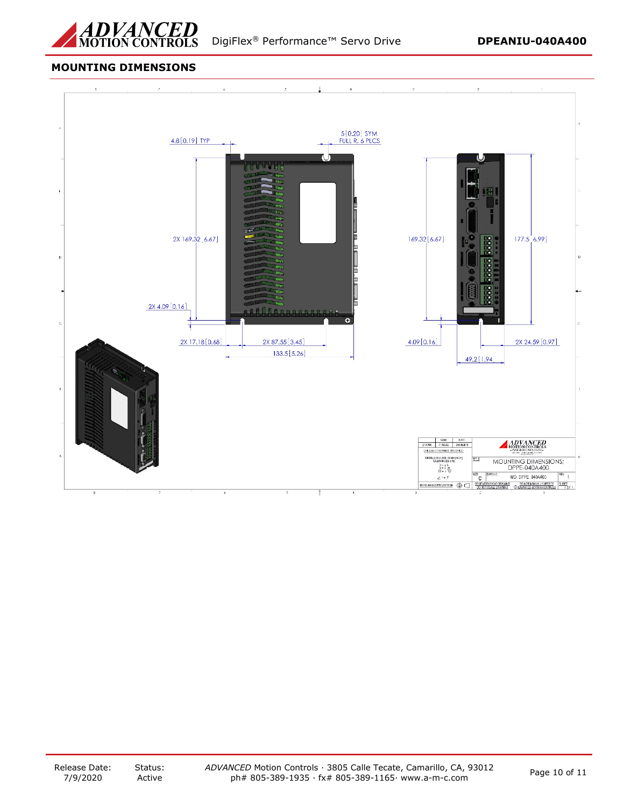

## **MOUNTING DIMENSIONS**